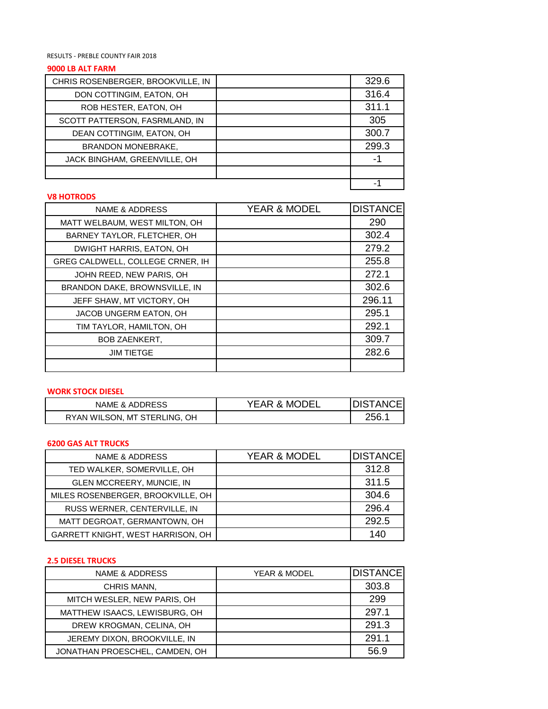#### RESULTS - PREBLE COUNTY FAIR 2018

## **9000 LB ALT FARM**

| CHRIS ROSENBERGER, BROOKVILLE, IN | 329.6 |
|-----------------------------------|-------|
| DON COTTINGIM, EATON, OH          | 316.4 |
| ROB HESTER, EATON, OH             | 311.1 |
| SCOTT PATTERSON, FASRMLAND, IN    | 305   |
| DEAN COTTINGIM, EATON, OH         | 300.7 |
| <b>BRANDON MONEBRAKE,</b>         | 299.3 |
| JACK BINGHAM, GREENVILLE, OH      |       |
|                                   |       |
|                                   |       |

#### **V8 HOTRODS**

| <b>NAME &amp; ADDRESS</b>        | <b>YEAR &amp; MODEL</b> | <b>DISTANCE</b> |
|----------------------------------|-------------------------|-----------------|
| MATT WELBAUM, WEST MILTON, OH    |                         | 290             |
| BARNEY TAYLOR, FLETCHER, OH      |                         | 302.4           |
| DWIGHT HARRIS, EATON, OH         |                         | 279.2           |
| GREG CALDWELL, COLLEGE CRNER, IH |                         | 255.8           |
| JOHN REED, NEW PARIS, OH         |                         | 272.1           |
| BRANDON DAKE, BROWNSVILLE, IN    |                         | 302.6           |
| JEFF SHAW, MT VICTORY, OH        |                         | 296.11          |
| JACOB UNGERM EATON, OH           |                         | 295.1           |
| TIM TAYLOR, HAMILTON, OH         |                         | 292.1           |
| <b>BOB ZAENKERT.</b>             |                         | 309.7           |
| <b>JIM TIETGE</b>                |                         | 282.6           |
|                                  |                         |                 |

## **WORK STOCK DIESEL**

| NAME & ADDRESS               | YEAR & MODEL | <b>DISTANCE</b> |
|------------------------------|--------------|-----------------|
| RYAN WILSON, MT STERLING, OH |              | 256.1           |

# **6200 GAS ALT TRUCKS**

| NAME & ADDRESS                    | YEAR & MODEL | <b>DISTANCE</b> |
|-----------------------------------|--------------|-----------------|
| TED WALKER, SOMERVILLE, OH        |              | 312.8           |
| GLEN MCCREERY, MUNCIE, IN         |              | 311.5           |
| MILES ROSENBERGER, BROOKVILLE, OH |              | 304.6           |
| RUSS WERNER, CENTERVILLE, IN      |              | 296.4           |
| MATT DEGROAT, GERMANTOWN, OH      |              | 292.5           |
| GARRETT KNIGHT, WEST HARRISON, OH |              | 140             |

### **2.5 DIESEL TRUCKS**

| NAME & ADDRESS                 | <b>YEAR &amp; MODEL</b> | <b>DISTANCE</b> |
|--------------------------------|-------------------------|-----------------|
| CHRIS MANN,                    |                         | 303.8           |
| MITCH WESLER, NEW PARIS, OH    |                         | 299             |
| MATTHEW ISAACS, LEWISBURG, OH  |                         | 297.1           |
| DREW KROGMAN, CELINA, OH       |                         | 291.3           |
| JEREMY DIXON, BROOKVILLE, IN   |                         | 291.1           |
| JONATHAN PROESCHEL, CAMDEN, OH |                         | 56.9            |